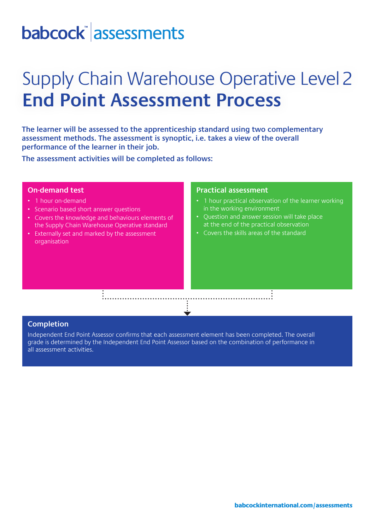# babcock assessments

### Supply Chain Warehouse Operative Level2 **End Point Assessment Process**

**The learner will be assessed to the apprenticeship standard using two complementary assessment methods. The assessment is synoptic, i.e. takes a view of the overall performance of the learner in their job.** 

**The assessment activities will be completed as follows:**

#### **On-demand test**

- 1 hour on-demand
- Scenario based short answer questions
- Covers the knowledge and behaviours elements of the Supply Chain Warehouse Operative standard
- Externally set and marked by the assessment organisation

#### **Practical assessment**

- 1 hour practical observation of the learner working in the working environment
- Question and answer session will take place at the end of the practical observation
- Covers the skills areas of the standard

#### **Completion**

Independent End Point Assessor confirms that each assessment element has been completed. The overall grade is determined by the Independent End Point Assessor based on the combination of performance in all assessment activities.